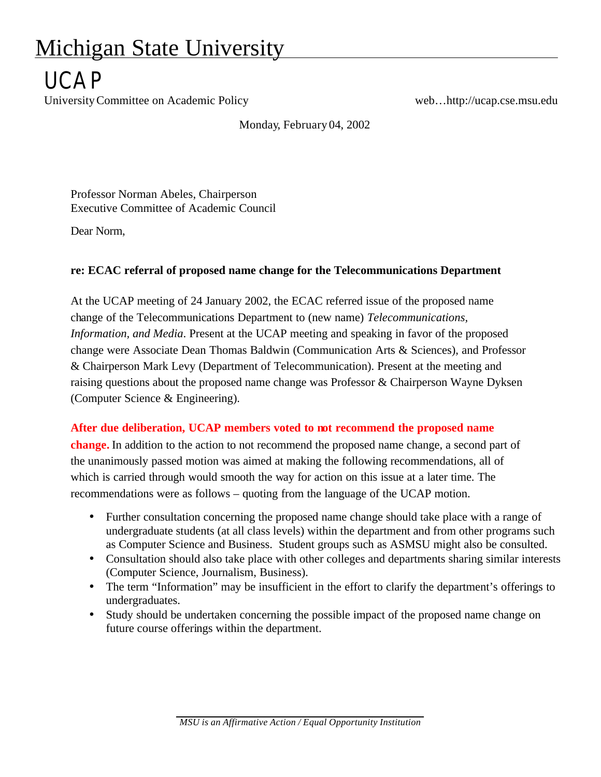## Michigan State University

## **IICAP**

University Committee on Academic Policy web...http://ucap.cse.msu.edu

Monday, February 04, 2002

Professor Norman Abeles, Chairperson Executive Committee of Academic Council

Dear Norm,

## **re: ECAC referral of proposed name change for the Telecommunications Department**

At the UCAP meeting of 24 January 2002, the ECAC referred issue of the proposed name change of the Telecommunications Department to (new name) *Telecommunications, Information, and Media*. Present at the UCAP meeting and speaking in favor of the proposed change were Associate Dean Thomas Baldwin (Communication Arts & Sciences), and Professor & Chairperson Mark Levy (Department of Telecommunication). Present at the meeting and raising questions about the proposed name change was Professor & Chairperson Wayne Dyksen (Computer Science & Engineering).

## **After due deliberation, UCAP members voted to not recommend the proposed name**

**change.** In addition to the action to not recommend the proposed name change, a second part of the unanimously passed motion was aimed at making the following recommendations, all of which is carried through would smooth the way for action on this issue at a later time. The recommendations were as follows – quoting from the language of the UCAP motion.

- Further consultation concerning the proposed name change should take place with a range of undergraduate students (at all class levels) within the department and from other programs such as Computer Science and Business. Student groups such as ASMSU might also be consulted.
- Consultation should also take place with other colleges and departments sharing similar interests (Computer Science, Journalism, Business).
- The term "Information" may be insufficient in the effort to clarify the department's offerings to undergraduates.
- Study should be undertaken concerning the possible impact of the proposed name change on future course offerings within the department.